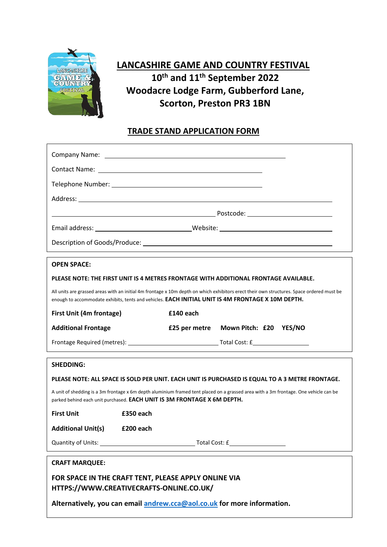

# **LANCASHIRE GAME AND COUNTRY FESTIVAL 10 th and 11 th September 2022 Woodacre Lodge Farm, Gubberford Lane, Scorton, Preston PR3 1BN**

# **TRADE STAND APPLICATION FORM**

| <b>OPEN SPACE:</b>                                                                                                                                                                                                                             |                                                                                                 |  |  |  |
|------------------------------------------------------------------------------------------------------------------------------------------------------------------------------------------------------------------------------------------------|-------------------------------------------------------------------------------------------------|--|--|--|
| PLEASE NOTE: THE FIRST UNIT IS 4 METRES FRONTAGE WITH ADDITIONAL FRONTAGE AVAILABLE.                                                                                                                                                           |                                                                                                 |  |  |  |
| All units are grassed areas with an initial 4m frontage x 10m depth on which exhibitors erect their own structures. Space ordered must be<br>enough to accommodate exhibits, tents and vehicles. EACH INITIAL UNIT IS 4M FRONTAGE X 10M DEPTH. |                                                                                                 |  |  |  |
| First Unit (4m frontage)                                                                                                                                                                                                                       | £140 each                                                                                       |  |  |  |
| <b>Additional Frontage</b>                                                                                                                                                                                                                     | £25 per metre Mown Pitch: £20 YES/NO                                                            |  |  |  |
|                                                                                                                                                                                                                                                |                                                                                                 |  |  |  |
| <b>SHEDDING:</b>                                                                                                                                                                                                                               |                                                                                                 |  |  |  |
|                                                                                                                                                                                                                                                | PLEASE NOTE: ALL SPACE IS SOLD PER UNIT. EACH UNIT IS PURCHASED IS EQUAL TO A 3 METRE FRONTAGE. |  |  |  |
| A unit of shedding is a 3m frontage x 6m depth aluminium framed tent placed on a grassed area with a 3m frontage. One vehicle can be<br>parked behind each unit purchased. EACH UNIT IS 3M FRONTAGE X 6M DEPTH.                                |                                                                                                 |  |  |  |
| <b>First Unit</b>                                                                                                                                                                                                                              | £350 each                                                                                       |  |  |  |
| <b>Additional Unit(s)</b>                                                                                                                                                                                                                      | £200 each                                                                                       |  |  |  |
| Quantity of Units: Units: Units: Units: Units: Units: Units: Units: Units: Units: Units: Units: Units: Units: U<br>Total Cost: £                                                                                                               |                                                                                                 |  |  |  |
| <b>CRAFT MARQUEE:</b>                                                                                                                                                                                                                          |                                                                                                 |  |  |  |
| FOR SPACE IN THE CRAFT TENT, PLEASE APPLY ONLINE VIA<br>HTTPS://WWW.CREATIVECRAFTS-ONLINE.CO.UK/                                                                                                                                               |                                                                                                 |  |  |  |

**Alternatively, you can email [andrew.cca@aol.co.uk](mailto:andrew.cca@aol.co.uk) for more information.**